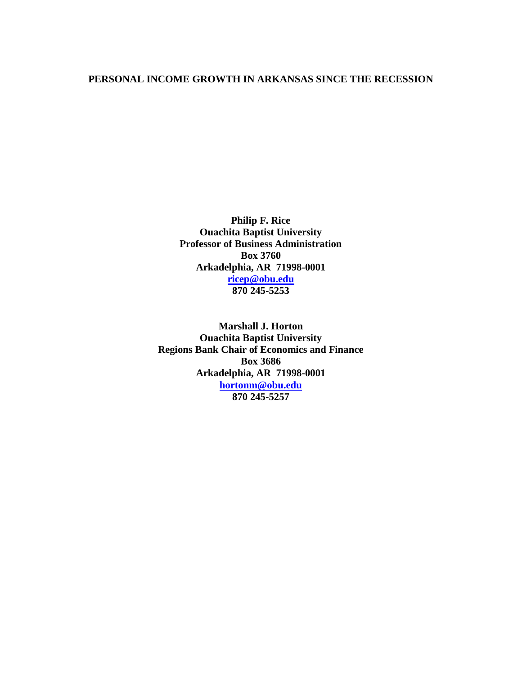#### **PERSONAL INCOME GROWTH IN ARKANSAS SINCE THE RECESSION**

**Philip F. Rice Ouachita Baptist University Professor of Business Administration Box 3760 Arkadelphia, AR 71998-0001 [ricep@obu.edu](mailto:ricep@obu.edu) 870 245-5253**

**Marshall J. Horton Ouachita Baptist University Regions Bank Chair of Economics and Finance Box 3686 Arkadelphia, AR 71998-0001 [hortonm@obu.edu](mailto:hortonm@obu.edu) 870 245-5257**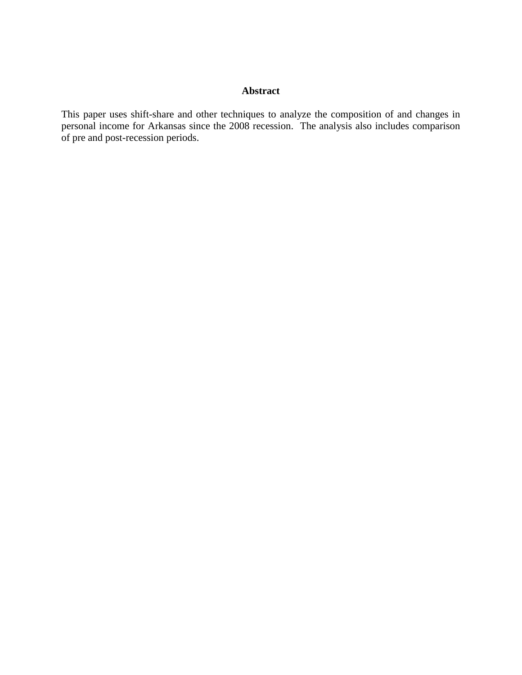### **Abstract**

This paper uses shift-share and other techniques to analyze the composition of and changes in personal income for Arkansas since the 2008 recession. The analysis also includes comparison of pre and post-recession periods.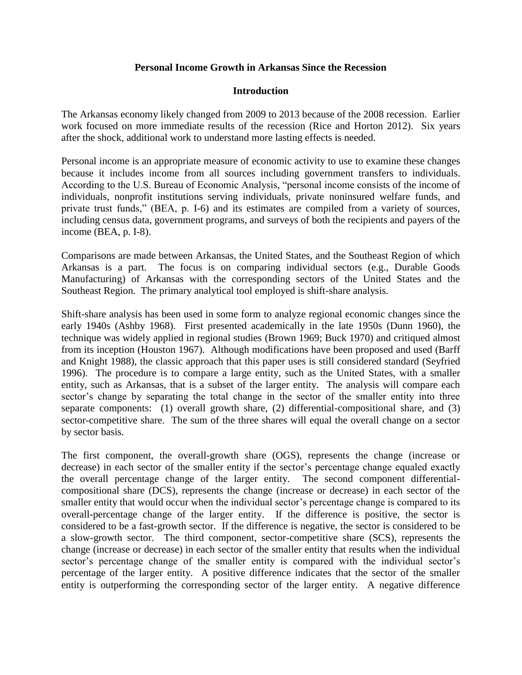### **Personal Income Growth in Arkansas Since the Recession**

### **Introduction**

The Arkansas economy likely changed from 2009 to 2013 because of the 2008 recession. Earlier work focused on more immediate results of the recession (Rice and Horton 2012). Six years after the shock, additional work to understand more lasting effects is needed.

Personal income is an appropriate measure of economic activity to use to examine these changes because it includes income from all sources including government transfers to individuals. According to the U.S. Bureau of Economic Analysis, "personal income consists of the income of individuals, nonprofit institutions serving individuals, private noninsured welfare funds, and private trust funds," (BEA, p. I-6) and its estimates are compiled from a variety of sources, including census data, government programs, and surveys of both the recipients and payers of the income (BEA, p. I-8).

Comparisons are made between Arkansas, the United States, and the Southeast Region of which Arkansas is a part. The focus is on comparing individual sectors (e.g., Durable Goods Manufacturing) of Arkansas with the corresponding sectors of the United States and the Southeast Region. The primary analytical tool employed is shift-share analysis.

Shift-share analysis has been used in some form to analyze regional economic changes since the early 1940s (Ashby 1968). First presented academically in the late 1950s (Dunn 1960), the technique was widely applied in regional studies (Brown 1969; Buck 1970) and critiqued almost from its inception (Houston 1967). Although modifications have been proposed and used (Barff and Knight 1988), the classic approach that this paper uses is still considered standard (Seyfried 1996). The procedure is to compare a large entity, such as the United States, with a smaller entity, such as Arkansas, that is a subset of the larger entity. The analysis will compare each sector's change by separating the total change in the sector of the smaller entity into three separate components: (1) overall growth share, (2) differential-compositional share, and (3) sector-competitive share. The sum of the three shares will equal the overall change on a sector by sector basis.

The first component, the overall-growth share (OGS), represents the change (increase or decrease) in each sector of the smaller entity if the sector's percentage change equaled exactly the overall percentage change of the larger entity. The second component differentialcompositional share (DCS), represents the change (increase or decrease) in each sector of the smaller entity that would occur when the individual sector's percentage change is compared to its overall-percentage change of the larger entity. If the difference is positive, the sector is considered to be a fast-growth sector. If the difference is negative, the sector is considered to be a slow-growth sector. The third component, sector-competitive share (SCS), represents the change (increase or decrease) in each sector of the smaller entity that results when the individual sector's percentage change of the smaller entity is compared with the individual sector's percentage of the larger entity. A positive difference indicates that the sector of the smaller entity is outperforming the corresponding sector of the larger entity. A negative difference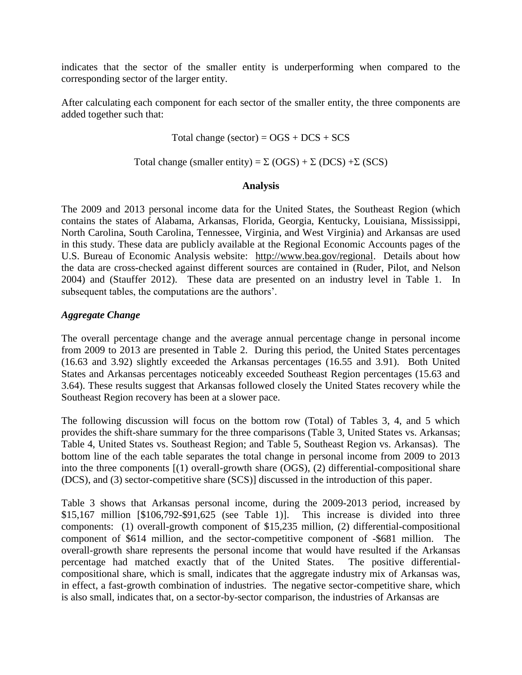indicates that the sector of the smaller entity is underperforming when compared to the corresponding sector of the larger entity.

After calculating each component for each sector of the smaller entity, the three components are added together such that:

Total change (sector) =  $OGS + DCS + SCS$ 

Total change (smaller entity) =  $\Sigma$  (OGS) +  $\Sigma$  (DCS) +  $\Sigma$  (SCS)

#### **Analysis**

The 2009 and 2013 personal income data for the United States, the Southeast Region (which contains the states of Alabama, Arkansas, Florida, Georgia, Kentucky, Louisiana, Mississippi, North Carolina, South Carolina, Tennessee, Virginia, and West Virginia) and Arkansas are used in this study. These data are publicly available at the Regional Economic Accounts pages of the U.S. Bureau of Economic Analysis website: [http://www.bea.gov/regional.](http://www.bea.gov/regional) Details about how the data are cross-checked against different sources are contained in (Ruder, Pilot, and Nelson 2004) and (Stauffer 2012). These data are presented on an industry level in Table 1. In subsequent tables, the computations are the authors'.

#### *Aggregate Change*

The overall percentage change and the average annual percentage change in personal income from 2009 to 2013 are presented in Table 2. During this period, the United States percentages (16.63 and 3.92) slightly exceeded the Arkansas percentages (16.55 and 3.91). Both United States and Arkansas percentages noticeably exceeded Southeast Region percentages (15.63 and 3.64). These results suggest that Arkansas followed closely the United States recovery while the Southeast Region recovery has been at a slower pace.

The following discussion will focus on the bottom row (Total) of Tables 3, 4, and 5 which provides the shift-share summary for the three comparisons (Table 3, United States vs. Arkansas; Table 4, United States vs. Southeast Region; and Table 5, Southeast Region vs. Arkansas). The bottom line of the each table separates the total change in personal income from 2009 to 2013 into the three components [(1) overall-growth share (OGS), (2) differential-compositional share (DCS), and (3) sector-competitive share (SCS)] discussed in the introduction of this paper.

Table 3 shows that Arkansas personal income, during the 2009-2013 period, increased by \$15,167 million [\$106,792-\$91,625 (see Table 1)]. This increase is divided into three components: (1) overall-growth component of \$15,235 million, (2) differential-compositional component of \$614 million, and the sector-competitive component of -\$681 million. The overall-growth share represents the personal income that would have resulted if the Arkansas percentage had matched exactly that of the United States. The positive differentialcompositional share, which is small, indicates that the aggregate industry mix of Arkansas was, in effect, a fast-growth combination of industries. The negative sector-competitive share, which is also small, indicates that, on a sector-by-sector comparison, the industries of Arkansas are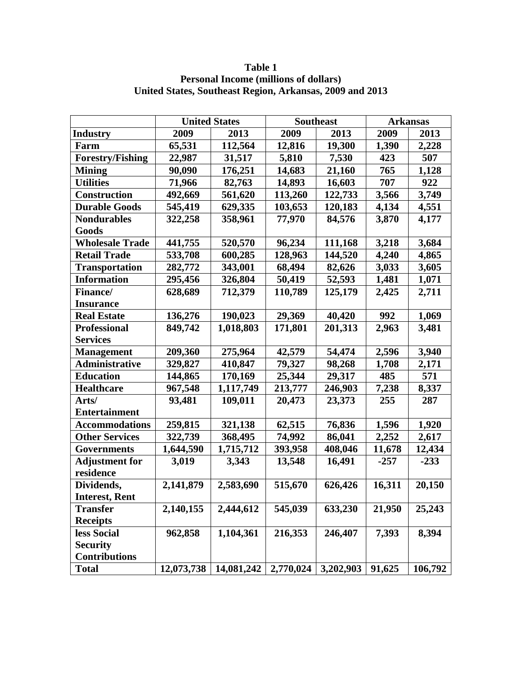|                         | <b>United States</b> |            |           | <b>Southeast</b> | <b>Arkansas</b> |         |
|-------------------------|----------------------|------------|-----------|------------------|-----------------|---------|
| <b>Industry</b>         | 2009                 | 2013       | 2009      | 2013             | 2009            | 2013    |
| Farm                    | 65,531               | 112,564    | 12,816    | 19,300           | 1,390           | 2,228   |
| <b>Forestry/Fishing</b> | 22,987               | 31,517     | 5,810     | 7,530            | 423             | 507     |
| <b>Mining</b>           | 90,090               | 176,251    | 14,683    | 21,160           | 765             | 1,128   |
| <b>Utilities</b>        | 71,966               | 82,763     | 14,893    | 16,603           | 707             | 922     |
| <b>Construction</b>     | 492,669              | 561,620    | 113,260   | 122,733          | 3,566           | 3,749   |
| <b>Durable Goods</b>    | 545,419              | 629,335    | 103,653   | 120,183          | 4,134           | 4,551   |
| <b>Nondurables</b>      | 322,258              | 358,961    | 77,970    | 84,576           | 3,870           | 4,177   |
| Goods                   |                      |            |           |                  |                 |         |
| <b>Wholesale Trade</b>  | 441,755              | 520,570    | 96,234    | 111,168          | 3,218           | 3,684   |
| <b>Retail Trade</b>     | 533,708              | 600,285    | 128,963   | 144,520          | 4,240           | 4,865   |
| <b>Transportation</b>   | 282,772              | 343,001    | 68,494    | 82,626           | 3,033           | 3,605   |
| <b>Information</b>      | 295,456              | 326,804    | 50,419    | 52,593           | 1,481           | 1,071   |
| <b>Finance</b> /        | 628,689              | 712,379    | 110,789   | 125,179          | 2,425           | 2,711   |
| <b>Insurance</b>        |                      |            |           |                  |                 |         |
| <b>Real Estate</b>      | 136,276              | 190,023    | 29,369    | 40,420           | 992             | 1,069   |
| <b>Professional</b>     | 849,742              | 1,018,803  | 171,801   | 201,313          | 2,963           | 3,481   |
| <b>Services</b>         |                      |            |           |                  |                 |         |
| <b>Management</b>       | 209,360              | 275,964    | 42,579    | 54,474           | 2,596           | 3,940   |
| <b>Administrative</b>   | 329,827              | 410,847    | 79,327    | 98,268           | 1,708           | 2,171   |
| <b>Education</b>        | 144,865              | 170,169    | 25,344    | 29,317           | 485             | 571     |
| <b>Healthcare</b>       | 967,548              | 1,117,749  | 213,777   | 246,903          | 7,238           | 8,337   |
| Arts/                   | 93,481               | 109,011    | 20,473    | 23,373           | 255             | 287     |
| <b>Entertainment</b>    |                      |            |           |                  |                 |         |
| <b>Accommodations</b>   | 259,815              | 321,138    | 62,515    | 76,836           | 1,596           | 1,920   |
| <b>Other Services</b>   | 322,739              | 368,495    | 74,992    | 86,041           | 2,252           | 2,617   |
| <b>Governments</b>      | 1,644,590            | 1,715,712  | 393,958   | 408,046          | 11,678          | 12,434  |
| <b>Adjustment for</b>   | 3,019                | 3,343      | 13,548    | 16,491           | $-257$          | $-233$  |
| residence               |                      |            |           |                  |                 |         |
| Dividends,              | 2,141,879            | 2,583,690  | 515,670   | 626,426          | 16,311          | 20,150  |
| <b>Interest, Rent</b>   |                      |            |           |                  |                 |         |
| <b>Transfer</b>         | 2,140,155            | 2,444,612  | 545,039   | 633,230          | 21,950          | 25,243  |
| <b>Receipts</b>         |                      |            |           |                  |                 |         |
| less Social             | 962,858              | 1,104,361  | 216,353   | 246,407          | 7,393           | 8,394   |
| <b>Security</b>         |                      |            |           |                  |                 |         |
| <b>Contributions</b>    |                      |            |           |                  |                 |         |
| <b>Total</b>            | 12,073,738           | 14,081,242 | 2,770,024 | 3,202,903        | 91,625          | 106,792 |

# **Table 1 Personal Income (millions of dollars) United States, Southeast Region, Arkansas, 2009 and 2013**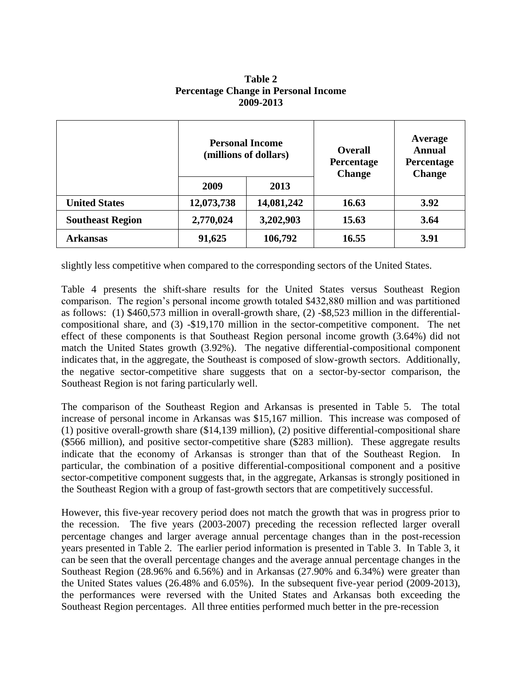|                         | <b>Personal Income</b><br>(millions of dollars) |            | <b>Overall</b><br>Percentage<br><b>Change</b> | Average<br><b>Annual</b><br><b>Percentage</b><br><b>Change</b> |  |
|-------------------------|-------------------------------------------------|------------|-----------------------------------------------|----------------------------------------------------------------|--|
|                         | 2009                                            | 2013       |                                               |                                                                |  |
| <b>United States</b>    | 12,073,738                                      | 14,081,242 | 16.63                                         | 3.92                                                           |  |
| <b>Southeast Region</b> | 2,770,024                                       | 3,202,903  | 15.63                                         | 3.64                                                           |  |
| <b>Arkansas</b>         | 91,625                                          | 106,792    | 16.55                                         | 3.91                                                           |  |

#### **Table 2 Percentage Change in Personal Income 2009-2013**

slightly less competitive when compared to the corresponding sectors of the United States.

Table 4 presents the shift-share results for the United States versus Southeast Region comparison. The region's personal income growth totaled \$432,880 million and was partitioned as follows: (1) \$460,573 million in overall-growth share, (2) -\$8,523 million in the differentialcompositional share, and (3) -\$19,170 million in the sector-competitive component. The net effect of these components is that Southeast Region personal income growth (3.64%) did not match the United States growth (3.92%). The negative differential-compositional component indicates that, in the aggregate, the Southeast is composed of slow-growth sectors. Additionally, the negative sector-competitive share suggests that on a sector-by-sector comparison, the Southeast Region is not faring particularly well.

The comparison of the Southeast Region and Arkansas is presented in Table 5. The total increase of personal income in Arkansas was \$15,167 million. This increase was composed of (1) positive overall-growth share (\$14,139 million), (2) positive differential-compositional share (\$566 million), and positive sector-competitive share (\$283 million). These aggregate results indicate that the economy of Arkansas is stronger than that of the Southeast Region. In particular, the combination of a positive differential-compositional component and a positive sector-competitive component suggests that, in the aggregate, Arkansas is strongly positioned in the Southeast Region with a group of fast-growth sectors that are competitively successful.

However, this five-year recovery period does not match the growth that was in progress prior to the recession. The five years (2003-2007) preceding the recession reflected larger overall percentage changes and larger average annual percentage changes than in the post-recession years presented in Table 2. The earlier period information is presented in Table 3. In Table 3, it can be seen that the overall percentage changes and the average annual percentage changes in the Southeast Region (28.96% and 6.56%) and in Arkansas (27.90% and 6.34%) were greater than the United States values (26.48% and 6.05%). In the subsequent five-year period (2009-2013), the performances were reversed with the United States and Arkansas both exceeding the Southeast Region percentages. All three entities performed much better in the pre-recession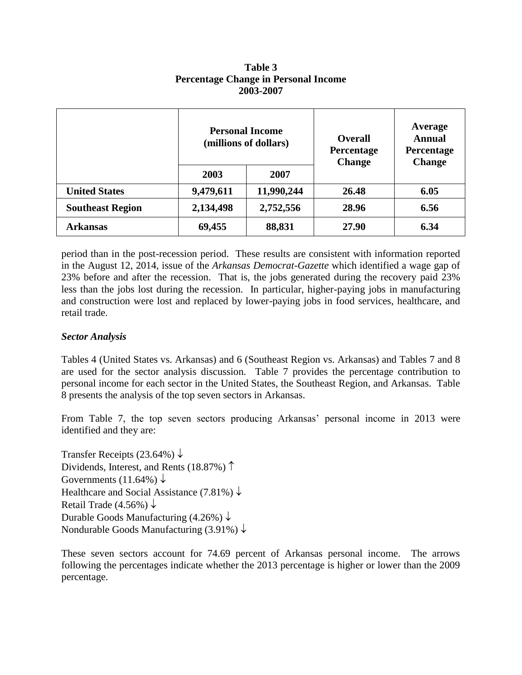|                         | <b>Personal Income</b><br>(millions of dollars) |            | <b>Overall</b><br>Percentage<br><b>Change</b> | Average<br><b>Annual</b><br>Percentage<br><b>Change</b> |  |
|-------------------------|-------------------------------------------------|------------|-----------------------------------------------|---------------------------------------------------------|--|
|                         | 2003                                            | 2007       |                                               |                                                         |  |
| <b>United States</b>    | 9,479,611                                       | 11,990,244 | 26.48                                         | 6.05                                                    |  |
| <b>Southeast Region</b> | 2,134,498                                       | 2,752,556  | 28.96                                         | 6.56                                                    |  |
| <b>Arkansas</b>         | 69,455                                          | 88,831     | 27.90                                         | 6.34                                                    |  |

**Table 3 Percentage Change in Personal Income 2003-2007**

period than in the post-recession period. These results are consistent with information reported in the August 12, 2014, issue of the *Arkansas Democrat-Gazette* which identified a wage gap of 23% before and after the recession. That is, the jobs generated during the recovery paid 23% less than the jobs lost during the recession. In particular, higher-paying jobs in manufacturing and construction were lost and replaced by lower-paying jobs in food services, healthcare, and retail trade.

#### *Sector Analysis*

Tables 4 (United States vs. Arkansas) and 6 (Southeast Region vs. Arkansas) and Tables 7 and 8 are used for the sector analysis discussion. Table 7 provides the percentage contribution to personal income for each sector in the United States, the Southeast Region, and Arkansas. Table 8 presents the analysis of the top seven sectors in Arkansas.

From Table 7, the top seven sectors producing Arkansas' personal income in 2013 were identified and they are:

Transfer Receipts (23.64%)  $\downarrow$ Dividends, Interest, and Rents (18.87%)  $\uparrow$ Governments (11.64%)  $\downarrow$ Healthcare and Social Assistance (7.81%)  $\downarrow$ Retail Trade (4.56%)  $\downarrow$ Durable Goods Manufacturing  $(4.26\%) \downarrow$ Nondurable Goods Manufacturing  $(3.91\%) \downarrow$ 

These seven sectors account for 74.69 percent of Arkansas personal income. The arrows following the percentages indicate whether the 2013 percentage is higher or lower than the 2009 percentage.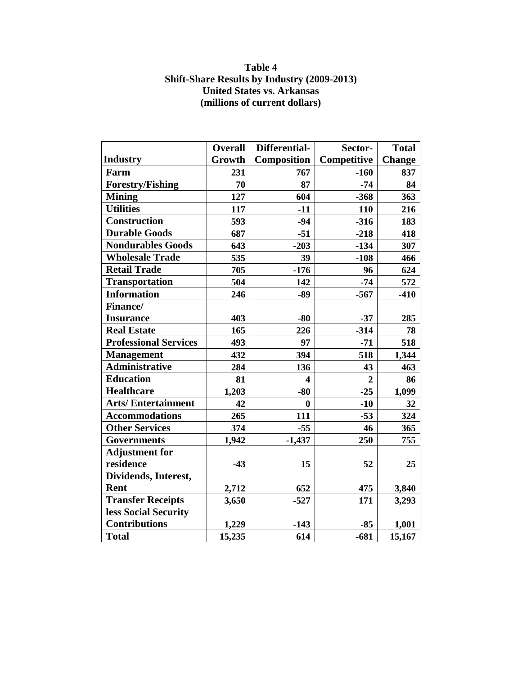## **Table 4 Shift-Share Results by Industry (2009-2013) United States vs. Arkansas (millions of current dollars)**

|                              | <b>Overall</b> | Differential-           | Sector-        | <b>Total</b>  |
|------------------------------|----------------|-------------------------|----------------|---------------|
| <b>Industry</b>              | Growth         | Composition             | Competitive    | <b>Change</b> |
| Farm                         | 231            | 767                     | $-160$         | 837           |
| <b>Forestry/Fishing</b>      | 70             | 87                      | $-74$          | 84            |
| <b>Mining</b>                | 127            | 604                     | $-368$         | 363           |
| <b>Utilities</b>             | 117            | $-11$                   | 110            | 216           |
| <b>Construction</b>          | 593            | $-94$                   | $-316$         | 183           |
| <b>Durable Goods</b>         | 687            | $-51$                   | $-218$         | 418           |
| <b>Nondurables Goods</b>     | 643            | $-203$                  | $-134$         | 307           |
| <b>Wholesale Trade</b>       | 535            | 39                      | $-108$         | 466           |
| <b>Retail Trade</b>          | 705            | $-176$                  | 96             | 624           |
| <b>Transportation</b>        | 504            | 142                     | $-74$          | 572           |
| <b>Information</b>           | 246            | $-89$                   | $-567$         | $-410$        |
| <b>Finance/</b>              |                |                         |                |               |
| <b>Insurance</b>             | 403            | $-80$                   | $-37$          | 285           |
| <b>Real Estate</b>           | 165            | 226                     | $-314$         | 78            |
| <b>Professional Services</b> | 493            | 97                      | $-71$          | 518           |
| <b>Management</b>            | 432            | 394                     | 518            | 1,344         |
| <b>Administrative</b>        | 284            | 136                     | 43             | 463           |
| <b>Education</b>             | 81             | $\overline{\mathbf{4}}$ | $\overline{2}$ | 86            |
| <b>Healthcare</b>            | 1,203          | $-80$                   | $-25$          | 1,099         |
| <b>Arts/Entertainment</b>    | 42             | $\bf{0}$                | $-10$          | 32            |
| <b>Accommodations</b>        | 265            | 111                     | $-53$          | 324           |
| <b>Other Services</b>        | 374            | $-55$                   | 46             | 365           |
| <b>Governments</b>           | 1,942          | $-1,437$                | 250            | 755           |
| <b>Adjustment for</b>        |                |                         |                |               |
| residence                    | $-43$          | 15                      | 52             | 25            |
| Dividends, Interest,         |                |                         |                |               |
| <b>Rent</b>                  | 2,712          | 652                     | 475            | 3,840         |
| <b>Transfer Receipts</b>     | 3,650          | $-527$                  | 171            | 3,293         |
| less Social Security         |                |                         |                |               |
| <b>Contributions</b>         | 1,229          | $-143$                  | $-85$          | 1,001         |
| <b>Total</b>                 | 15,235         | 614                     | $-681$         | 15,167        |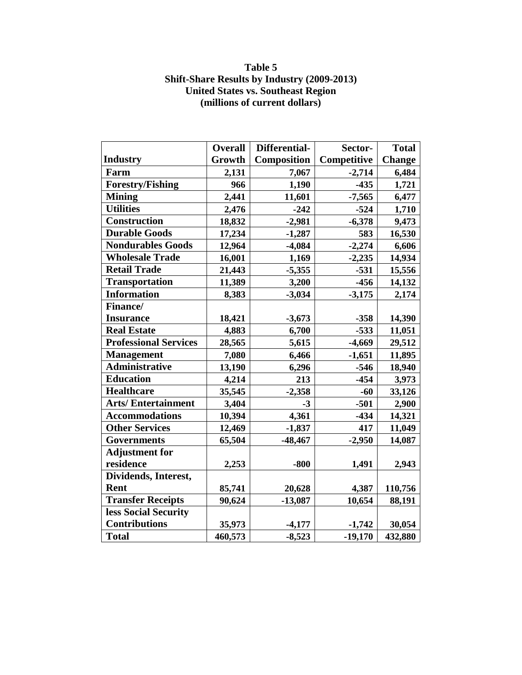## **Table 5 Shift-Share Results by Industry (2009-2013) United States vs. Southeast Region (millions of current dollars)**

|                              | <b>Overall</b> | Differential- | Sector-     | <b>Total</b>  |
|------------------------------|----------------|---------------|-------------|---------------|
| <b>Industry</b>              | Growth         | Composition   | Competitive | <b>Change</b> |
| Farm                         | 2,131          | 7,067         | $-2,714$    | 6,484         |
| <b>Forestry/Fishing</b>      | 966            | 1,190         | $-435$      | 1,721         |
| <b>Mining</b>                | 2,441          | 11,601        | $-7,565$    | 6,477         |
| <b>Utilities</b>             | 2,476          | $-242$        | $-524$      | 1,710         |
| <b>Construction</b>          | 18,832         | $-2,981$      | $-6,378$    | 9,473         |
| <b>Durable Goods</b>         | 17,234         | $-1,287$      | 583         | 16,530        |
| <b>Nondurables Goods</b>     | 12,964         | $-4,084$      | $-2,274$    | 6,606         |
| <b>Wholesale Trade</b>       | 16,001         | 1,169         | $-2,235$    | 14,934        |
| <b>Retail Trade</b>          | 21,443         | $-5,355$      | $-531$      | 15,556        |
| <b>Transportation</b>        | 11,389         | 3,200         | $-456$      | 14,132        |
| <b>Information</b>           | 8,383          | $-3,034$      | $-3,175$    | 2,174         |
| Finance/                     |                |               |             |               |
| <b>Insurance</b>             | 18,421         | $-3,673$      | $-358$      | 14,390        |
| <b>Real Estate</b>           | 4,883          | 6,700         | $-533$      | 11,051        |
| <b>Professional Services</b> | 28,565         | 5,615         | $-4,669$    | 29,512        |
| <b>Management</b>            | 7,080          | 6,466         | $-1,651$    | 11,895        |
| <b>Administrative</b>        | 13,190         | 6,296         | $-546$      | 18,940        |
| <b>Education</b>             | 4,214          | 213           | $-454$      | 3,973         |
| <b>Healthcare</b>            | 35,545         | $-2,358$      | $-60$       | 33,126        |
| <b>Arts/Entertainment</b>    | 3,404          | $-3$          | $-501$      | 2,900         |
| <b>Accommodations</b>        | 10,394         | 4,361         | $-434$      | 14,321        |
| <b>Other Services</b>        | 12,469         | $-1,837$      | 417         | 11,049        |
| <b>Governments</b>           | 65,504         | $-48,467$     | $-2,950$    | 14,087        |
| <b>Adjustment for</b>        |                |               |             |               |
| residence                    | 2,253          | $-800$        | 1,491       | 2,943         |
| Dividends, Interest,         |                |               |             |               |
| Rent                         | 85,741         | 20,628        | 4,387       | 110,756       |
| <b>Transfer Receipts</b>     | 90,624         | $-13,087$     | 10,654      | 88,191        |
| less Social Security         |                |               |             |               |
| <b>Contributions</b>         | 35,973         | $-4,177$      | $-1,742$    | 30,054        |
| <b>Total</b>                 | 460,573        | $-8,523$      | $-19,170$   | 432,880       |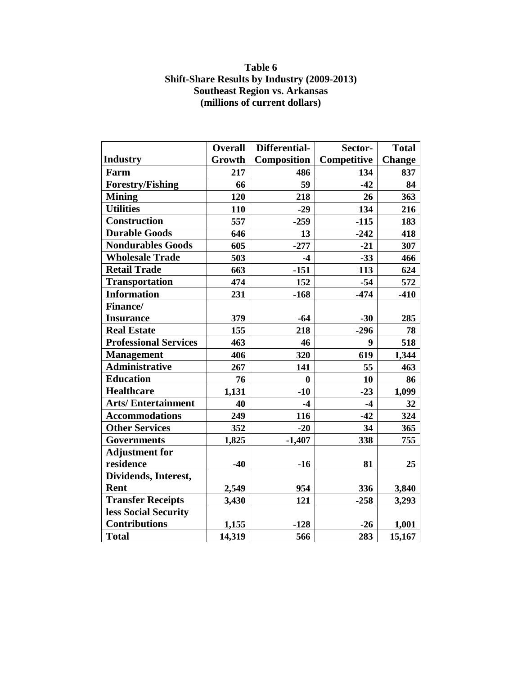## **Table 6 Shift-Share Results by Industry (2009-2013) Southeast Region vs. Arkansas (millions of current dollars)**

|                              | <b>Overall</b> | Differential- | Sector-          | <b>Total</b>  |
|------------------------------|----------------|---------------|------------------|---------------|
| <b>Industry</b>              | Growth         | Composition   | Competitive      | <b>Change</b> |
| Farm                         |                |               |                  |               |
|                              | 217            | 486           | 134              | 837           |
| <b>Forestry/Fishing</b>      | 66             | 59            | $-42$            | 84            |
| <b>Mining</b>                | 120            | 218           | 26               | 363           |
| <b>Utilities</b>             | 110            | $-29$         | 134              | 216           |
| Construction                 | 557            | $-259$        | $-115$           | 183           |
| <b>Durable Goods</b>         | 646            | 13            | $-242$           | 418           |
| <b>Nondurables Goods</b>     | 605            | $-277$        | $-21$            | 307           |
| <b>Wholesale Trade</b>       | 503            | $-4$          | $-33$            | 466           |
| <b>Retail Trade</b>          | 663            | $-151$        | 113              | 624           |
| <b>Transportation</b>        | 474            | 152           | $-54$            | 572           |
| <b>Information</b>           | 231            | $-168$        | $-474$           | $-410$        |
| Finance/                     |                |               |                  |               |
| <b>Insurance</b>             | 379            | $-64$         | $-30$            | 285           |
| <b>Real Estate</b>           | 155            | 218           | $-296$           | 78            |
| <b>Professional Services</b> | 463            | 46            | $\boldsymbol{9}$ | 518           |
| <b>Management</b>            | 406            | 320           | 619              | 1,344         |
| <b>Administrative</b>        | 267            | 141           | 55               | 463           |
| <b>Education</b>             | 76             | $\bf{0}$      | 10               | 86            |
| <b>Healthcare</b>            | 1,131          | $-10$         | $-23$            | 1,099         |
| <b>Arts/Entertainment</b>    | 40             | $-4$          | $-4$             | 32            |
| <b>Accommodations</b>        | 249            | 116           | $-42$            | 324           |
| <b>Other Services</b>        | 352            | $-20$         | 34               | 365           |
| <b>Governments</b>           | 1,825          | $-1,407$      | 338              | 755           |
| <b>Adjustment for</b>        |                |               |                  |               |
| residence                    | $-40$          | $-16$         | 81               | 25            |
| Dividends, Interest,         |                |               |                  |               |
| Rent                         | 2,549          | 954           | 336              | 3,840         |
| <b>Transfer Receipts</b>     | 3,430          | 121           | $-258$           | 3,293         |
| less Social Security         |                |               |                  |               |
| <b>Contributions</b>         | 1,155          | $-128$        | $-26$            | 1,001         |
| <b>Total</b>                 | 14,319         | 566           | 283              | 15,167        |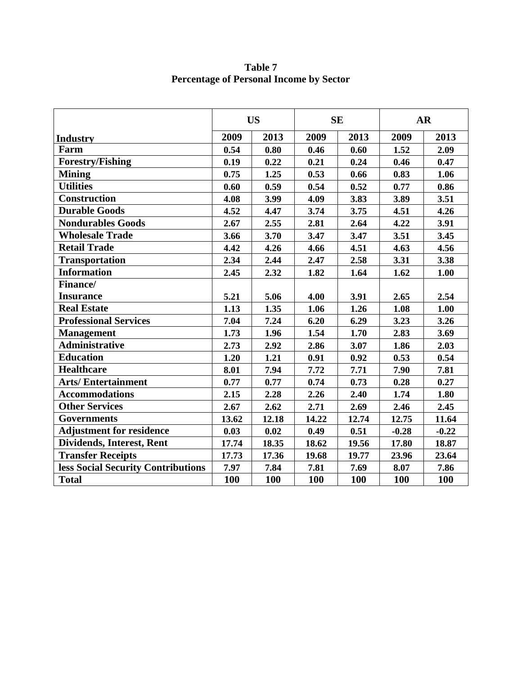**Table 7 Percentage of Personal Income by Sector** 

|                                    | <b>US</b> |       | <b>SE</b> |       | <b>AR</b> |            |
|------------------------------------|-----------|-------|-----------|-------|-----------|------------|
| Industry                           | 2009      | 2013  | 2009      | 2013  | 2009      | 2013       |
| Farm                               | 0.54      | 0.80  | 0.46      | 0.60  | 1.52      | 2.09       |
| <b>Forestry/Fishing</b>            | 0.19      | 0.22  | 0.21      | 0.24  | 0.46      | 0.47       |
| <b>Mining</b>                      | 0.75      | 1.25  | 0.53      | 0.66  | 0.83      | 1.06       |
| <b>Utilities</b>                   | 0.60      | 0.59  | 0.54      | 0.52  | 0.77      | 0.86       |
| Construction                       | 4.08      | 3.99  | 4.09      | 3.83  | 3.89      | 3.51       |
| <b>Durable Goods</b>               | 4.52      | 4.47  | 3.74      | 3.75  | 4.51      | 4.26       |
| <b>Nondurables Goods</b>           | 2.67      | 2.55  | 2.81      | 2.64  | 4.22      | 3.91       |
| <b>Wholesale Trade</b>             | 3.66      | 3.70  | 3.47      | 3.47  | 3.51      | 3.45       |
| <b>Retail Trade</b>                | 4.42      | 4.26  | 4.66      | 4.51  | 4.63      | 4.56       |
| <b>Transportation</b>              | 2.34      | 2.44  | 2.47      | 2.58  | 3.31      | 3.38       |
| <b>Information</b>                 | 2.45      | 2.32  | 1.82      | 1.64  | 1.62      | 1.00       |
| Finance/                           |           |       |           |       |           |            |
| <b>Insurance</b>                   | 5.21      | 5.06  | 4.00      | 3.91  | 2.65      | 2.54       |
| <b>Real Estate</b>                 | 1.13      | 1.35  | 1.06      | 1.26  | 1.08      | 1.00       |
| <b>Professional Services</b>       | 7.04      | 7.24  | 6.20      | 6.29  | 3.23      | 3.26       |
| <b>Management</b>                  | 1.73      | 1.96  | 1.54      | 1.70  | 2.83      | 3.69       |
| <b>Administrative</b>              | 2.73      | 2.92  | 2.86      | 3.07  | 1.86      | 2.03       |
| <b>Education</b>                   | 1.20      | 1.21  | 0.91      | 0.92  | 0.53      | 0.54       |
| <b>Healthcare</b>                  | 8.01      | 7.94  | 7.72      | 7.71  | 7.90      | 7.81       |
| <b>Arts/Entertainment</b>          | 0.77      | 0.77  | 0.74      | 0.73  | 0.28      | 0.27       |
| <b>Accommodations</b>              | 2.15      | 2.28  | 2.26      | 2.40  | 1.74      | 1.80       |
| <b>Other Services</b>              | 2.67      | 2.62  | 2.71      | 2.69  | 2.46      | 2.45       |
| <b>Governments</b>                 | 13.62     | 12.18 | 14.22     | 12.74 | 12.75     | 11.64      |
| <b>Adjustment for residence</b>    | 0.03      | 0.02  | 0.49      | 0.51  | $-0.28$   | $-0.22$    |
| Dividends, Interest, Rent          | 17.74     | 18.35 | 18.62     | 19.56 | 17.80     | 18.87      |
| <b>Transfer Receipts</b>           | 17.73     | 17.36 | 19.68     | 19.77 | 23.96     | 23.64      |
| less Social Security Contributions | 7.97      | 7.84  | 7.81      | 7.69  | 8.07      | 7.86       |
| <b>Total</b>                       | 100       | 100   | 100       | 100   | 100       | <b>100</b> |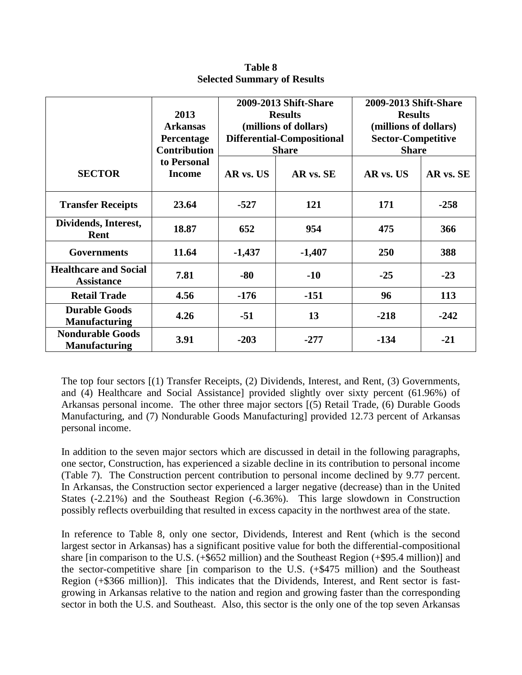|                                                   | 2013<br><b>Arkansas</b><br>Percentage<br><b>Contribution</b> | 2009-2013 Shift-Share<br><b>Results</b><br>(millions of dollars)<br>Differential-Compositional<br><b>Share</b> |           | 2009-2013 Shift-Share<br><b>Results</b><br>(millions of dollars)<br><b>Sector-Competitive</b><br><b>Share</b> |           |  |
|---------------------------------------------------|--------------------------------------------------------------|----------------------------------------------------------------------------------------------------------------|-----------|---------------------------------------------------------------------------------------------------------------|-----------|--|
| <b>SECTOR</b>                                     | to Personal<br><b>Income</b>                                 | AR vs. US                                                                                                      | AR vs. SE | AR vs. US                                                                                                     | AR vs. SE |  |
| <b>Transfer Receipts</b>                          | 23.64                                                        | $-527$                                                                                                         | 121       | 171                                                                                                           | $-258$    |  |
| Dividends, Interest,<br>Rent                      | 18.87                                                        | 652                                                                                                            | 954       | 475                                                                                                           | 366       |  |
| <b>Governments</b>                                | 11.64                                                        | $-1,437$                                                                                                       | $-1,407$  | 250                                                                                                           | 388       |  |
| <b>Healthcare and Social</b><br><b>Assistance</b> | 7.81                                                         | $-80$                                                                                                          | $-10$     | $-25$                                                                                                         | $-23$     |  |
| <b>Retail Trade</b>                               | 4.56                                                         | $-176$                                                                                                         | $-151$    | 96                                                                                                            | 113       |  |
| <b>Durable Goods</b><br><b>Manufacturing</b>      | 4.26                                                         | $-51$                                                                                                          | 13        | $-218$                                                                                                        | $-242$    |  |
| <b>Nondurable Goods</b><br><b>Manufacturing</b>   | 3.91                                                         | $-203$                                                                                                         | $-277$    | $-134$                                                                                                        | $-21$     |  |

**Table 8 Selected Summary of Results**

The top four sectors [(1) Transfer Receipts, (2) Dividends, Interest, and Rent, (3) Governments, and (4) Healthcare and Social Assistance] provided slightly over sixty percent (61.96%) of Arkansas personal income. The other three major sectors [(5) Retail Trade, (6) Durable Goods Manufacturing, and (7) Nondurable Goods Manufacturing] provided 12.73 percent of Arkansas personal income.

In addition to the seven major sectors which are discussed in detail in the following paragraphs, one sector, Construction, has experienced a sizable decline in its contribution to personal income (Table 7). The Construction percent contribution to personal income declined by 9.77 percent. In Arkansas, the Construction sector experienced a larger negative (decrease) than in the United States (-2.21%) and the Southeast Region (-6.36%). This large slowdown in Construction possibly reflects overbuilding that resulted in excess capacity in the northwest area of the state.

In reference to Table 8, only one sector, Dividends, Interest and Rent (which is the second largest sector in Arkansas) has a significant positive value for both the differential-compositional share [in comparison to the U.S. (+\$652 million) and the Southeast Region (+\$95.4 million)] and the sector-competitive share [in comparison to the U.S. (+\$475 million) and the Southeast Region (+\$366 million)]. This indicates that the Dividends, Interest, and Rent sector is fastgrowing in Arkansas relative to the nation and region and growing faster than the corresponding sector in both the U.S. and Southeast. Also, this sector is the only one of the top seven Arkansas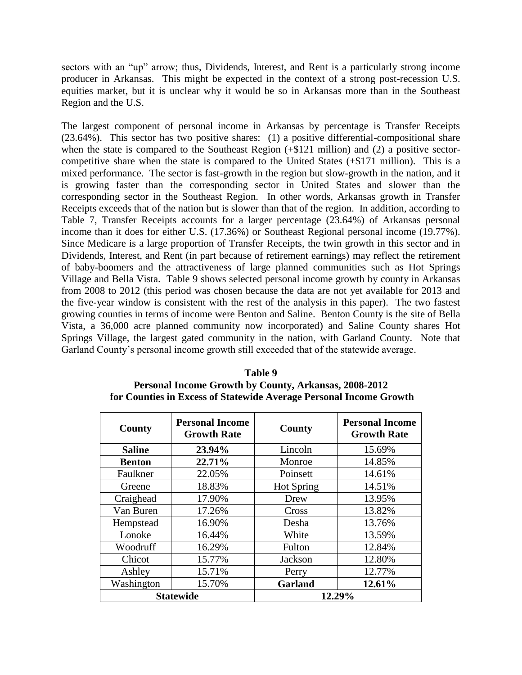sectors with an "up" arrow; thus, Dividends, Interest, and Rent is a particularly strong income producer in Arkansas. This might be expected in the context of a strong post-recession U.S. equities market, but it is unclear why it would be so in Arkansas more than in the Southeast Region and the U.S.

The largest component of personal income in Arkansas by percentage is Transfer Receipts  $(23.64\%)$ . This sector has two positive shares: (1) a positive differential-compositional share when the state is compared to the Southeast Region (+\$121 million) and (2) a positive sectorcompetitive share when the state is compared to the United States (+\$171 million). This is a mixed performance. The sector is fast-growth in the region but slow-growth in the nation, and it is growing faster than the corresponding sector in United States and slower than the corresponding sector in the Southeast Region. In other words, Arkansas growth in Transfer Receipts exceeds that of the nation but is slower than that of the region. In addition, according to Table 7, Transfer Receipts accounts for a larger percentage (23.64%) of Arkansas personal income than it does for either U.S. (17.36%) or Southeast Regional personal income (19.77%). Since Medicare is a large proportion of Transfer Receipts, the twin growth in this sector and in Dividends, Interest, and Rent (in part because of retirement earnings) may reflect the retirement of baby-boomers and the attractiveness of large planned communities such as Hot Springs Village and Bella Vista. Table 9 shows selected personal income growth by county in Arkansas from 2008 to 2012 (this period was chosen because the data are not yet available for 2013 and the five-year window is consistent with the rest of the analysis in this paper). The two fastest growing counties in terms of income were Benton and Saline. Benton County is the site of Bella Vista, a 36,000 acre planned community now incorporated) and Saline County shares Hot Springs Village, the largest gated community in the nation, with Garland County. Note that Garland County's personal income growth still exceeded that of the statewide average.

| Table 9                                                            |
|--------------------------------------------------------------------|
| <b>Personal Income Growth by County, Arkansas, 2008-2012</b>       |
| for Counties in Excess of Statewide Average Personal Income Growth |

| <b>County</b> | <b>Personal Income</b><br><b>Growth Rate</b> | <b>County</b> | <b>Personal Income</b><br><b>Growth Rate</b> |
|---------------|----------------------------------------------|---------------|----------------------------------------------|
| <b>Saline</b> | 23.94%                                       | Lincoln       | 15.69%                                       |
| <b>Benton</b> | 22.71%                                       | Monroe        | 14.85%                                       |
| Faulkner      | 22.05%                                       | Poinsett      | 14.61%                                       |
| Greene        | 18.83%                                       | Hot Spring    | 14.51%                                       |
| Craighead     | 17.90%                                       | Drew          | 13.95%                                       |
| Van Buren     | 17.26%                                       | Cross         | 13.82%                                       |
| Hempstead     | 16.90%                                       | Desha         | 13.76%                                       |
| Lonoke        | 16.44%                                       | White         | 13.59%                                       |
| Woodruff      | 16.29%                                       | Fulton        | 12.84%                                       |
| Chicot        | 15.77%                                       | Jackson       | 12.80%                                       |
| Ashley        | 15.71%                                       | Perry         | 12.77%                                       |
| Washington    | 15.70%                                       | Garland       | 12.61%                                       |
|               | <b>Statewide</b>                             | 12.29%        |                                              |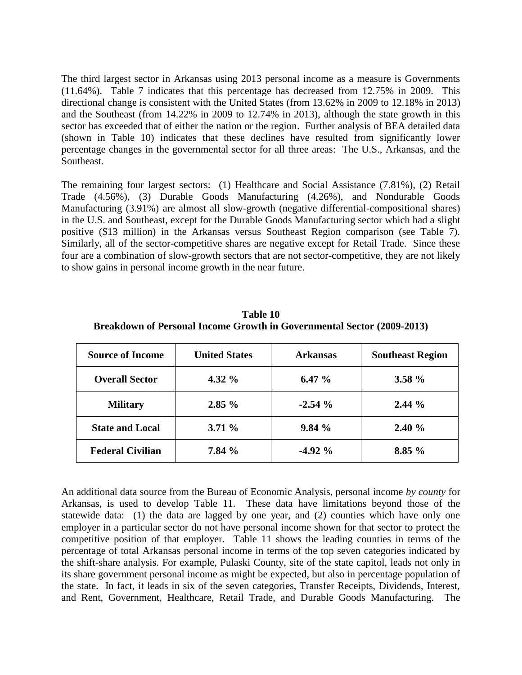The third largest sector in Arkansas using 2013 personal income as a measure is Governments (11.64%). Table 7 indicates that this percentage has decreased from 12.75% in 2009. This directional change is consistent with the United States (from 13.62% in 2009 to 12.18% in 2013) and the Southeast (from 14.22% in 2009 to 12.74% in 2013), although the state growth in this sector has exceeded that of either the nation or the region. Further analysis of BEA detailed data (shown in Table 10) indicates that these declines have resulted from significantly lower percentage changes in the governmental sector for all three areas: The U.S., Arkansas, and the Southeast.

The remaining four largest sectors: (1) Healthcare and Social Assistance (7.81%), (2) Retail Trade (4.56%), (3) Durable Goods Manufacturing (4.26%), and Nondurable Goods Manufacturing (3.91%) are almost all slow-growth (negative differential-compositional shares) in the U.S. and Southeast, except for the Durable Goods Manufacturing sector which had a slight positive (\$13 million) in the Arkansas versus Southeast Region comparison (see Table 7). Similarly, all of the sector-competitive shares are negative except for Retail Trade. Since these four are a combination of slow-growth sectors that are not sector-competitive, they are not likely to show gains in personal income growth in the near future.

| <b>Source of Income</b> | <b>United States</b> | <b>Arkansas</b> | <b>Southeast Region</b> |
|-------------------------|----------------------|-----------------|-------------------------|
| <b>Overall Sector</b>   | 4.32 $\%$            | 6.47 $%$        | $3.58 \%$               |
| <b>Military</b>         | 2.85%                | $-2.54%$        | $2.44\%$                |
| <b>State and Local</b>  | 3.71%                | 9.84%           | 2.40%                   |
| <b>Federal Civilian</b> | 7.84 %               | $-4.92\%$       | 8.85%                   |

**Table 10 Breakdown of Personal Income Growth in Governmental Sector (2009-2013)**

An additional data source from the Bureau of Economic Analysis, personal income *by county* for Arkansas, is used to develop Table 11. These data have limitations beyond those of the statewide data: (1) the data are lagged by one year, and (2) counties which have only one employer in a particular sector do not have personal income shown for that sector to protect the competitive position of that employer. Table 11 shows the leading counties in terms of the percentage of total Arkansas personal income in terms of the top seven categories indicated by the shift-share analysis. For example, Pulaski County, site of the state capitol, leads not only in its share government personal income as might be expected, but also in percentage population of the state. In fact, it leads in six of the seven categories, Transfer Receipts, Dividends, Interest, and Rent, Government, Healthcare, Retail Trade, and Durable Goods Manufacturing. The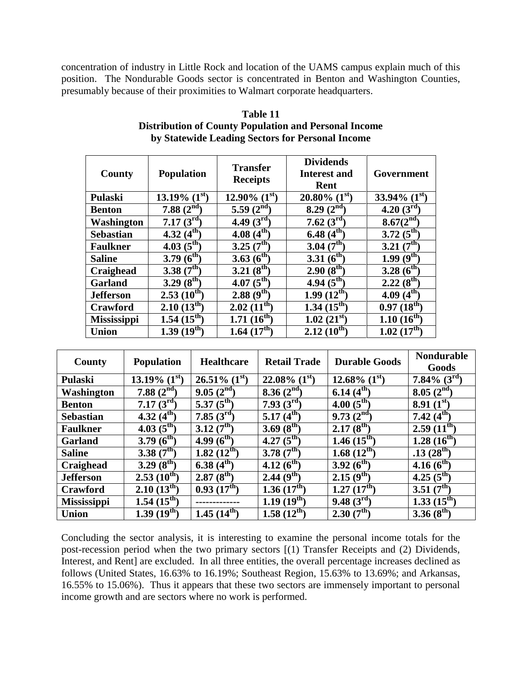concentration of industry in Little Rock and location of the UAMS campus explain much of this position. The Nondurable Goods sector is concentrated in Benton and Washington Counties, presumably because of their proximities to Walmart corporate headquarters.

| County             | <b>Population</b>      | <b>Transfer</b><br><b>Receipts</b> | <b>Dividends</b><br><b>Interest and</b><br><b>Rent</b> | Government              |
|--------------------|------------------------|------------------------------------|--------------------------------------------------------|-------------------------|
| <b>Pulaski</b>     | 13.19% $(1^{st})$      | 12.90% $(1^{st})$                  | $20.80\%$ (1 <sup>st</sup> )                           | 33.94% $(1st)$          |
| <b>Benton</b>      | $7.88~(2^{nd})$        | 5.59 $(2^{nd}$                     | 8.29 $(2^{\text{nd}})$                                 | 4.20 $(3^{rd})$         |
| Washington         | 7.17 $(3^{rd})$        | 4.49 $(3^{rd})$                    | 7.62 $(3^{rd})$                                        | $8.67(2^{nd})$          |
| <b>Sebastian</b>   | $4.32(4^{\text{th}})$  | 4.08 $(4^{th})$                    | 6.48 $(4^{th})$                                        | $3.72(5^{\text{th}})$   |
| <b>Faulkner</b>    | 4.03 $(5^{\text{th}})$ | $3.25(7^{th})$                     | 3.04 $(7^{th})$                                        | $3.21(7^{th})$          |
| <b>Saline</b>      | 3.79 $(6^{th})$        | 3.63 $(6^{th})$                    | 3.31 $(6^{th})$                                        | 1.99 $(9^{th})$         |
| Craighead          | 3.38 $(7^{th})$        | $3.21(8^{th})$                     | $2.90(8^{th})$                                         | 3.28 $(6^{th})$         |
| <b>Garland</b>     | 3.29 $(8^{th})$        | 4.07 $(5^{\text{th}})$             | 4.94 $(5^{\text{th}})$                                 | $2.22(8^{th})$          |
| <b>Jefferson</b>   | $2.53(10^{th})$        | $2.88(9^{th})$                     | $1.99(12^{th})$                                        | 4.09 $(4^{\text{th}})$  |
| Crawford           | $2.10(13^{th})$        | $2.02~(11^{\text{th}})$            | $1.34(15^{th})$                                        | $0.97(18^{th})$         |
| <b>Mississippi</b> | $1.54~(15^{th})$       | $1.71~(16^{th})$                   | $1.02~(21^{st})$                                       | $1.10~(16^{th})$        |
| <b>Union</b>       | $1.39(19^{th})$        | $1.64~(17^{\text{th}})$            | $2.12(10^{th})$                                        | $1.02~(17^{\text{th}})$ |

| Table 11                                                     |
|--------------------------------------------------------------|
| <b>Distribution of County Population and Personal Income</b> |
| by Statewide Leading Sectors for Personal Income             |

| County             | <b>Population</b>          | <b>Healthcare</b>       | <b>Retail Trade</b>     | <b>Durable Goods</b>    | <b>Nondurable</b><br>Goods |
|--------------------|----------------------------|-------------------------|-------------------------|-------------------------|----------------------------|
| Pulaski            | 13.19% $(1^{st})$          | $26.51\%~(1^{st})$      | 22.08% $(1^{\rm st})$   | 12.68% $(1^{\rm st})$   | 7.84% $(3^{\text{rd}})$    |
| <b>Washington</b>  | 7.88 $(2^{nd})$            | 9.05(2 <sup>nd</sup> )  | 8.36(2 <sup>nd</sup> )  | 6.14 $(4^{th})$         | 8.05(2 <sup>nd</sup> )     |
| <b>Benton</b>      | 7.17 $(3^{rd})$            | 5.37 $(5^{th})$         | 7.93 $(3^{\rm rd})$     | 4.00 $(5^{\text{th}})$  | $8.91(1^{st})$             |
| <b>Sebastian</b>   | 4.32 $(4^{\overline{th}})$ | 7.85 $(3^{rd})$         | $5.17(4^{th})$          | 9.73(2 <sup>nd</sup> )  | 7.42 $(4^{th})$            |
| <b>Faulkner</b>    | 4.03 $(5^{th})$            | 3.12(7 <sup>th</sup> )  | 3.69 $(8^{th})$         | $2.17(8^{th})$          | $2.59(11^{th})$            |
| <b>Garland</b>     | 3.79 $(6^{th})$            | 4.99 $(6^{th})$         | 4.27 $(5^{th})$         | $1.46(15^{th})$         | $1.28(16^{th})$            |
| <b>Saline</b>      | 3.38 $(7th)$               | $1.82(12^{th})$         | 3.78 $(7^{th})$         | 1.68 $(12^{th})$        | $.13(28^{th})$             |
| Craighead          | 3.29 $(8^{th})$            | 6.38 $(4^{th})$         | $4.12(6^{th})$          | $3.92(6^{th})$          | 4.16 $(6^{th})$            |
| <b>Jefferson</b>   | $2.53(10^{th})$            | $2.87(8^{th})$          | $2.44(9^{\text{th}})$   | $2.15(9^{th})$          | 4.25 $(5^{\text{th}})$     |
| Crawford           | $2.10(13^{th})$            | 0.93(17 <sup>th</sup> ) | 1.36(17 <sup>th</sup> ) | 1.27(17 <sup>th</sup> ) | 3.51 $(7^{th})$            |
| <b>Mississippi</b> | $1.54~(15^{th})$           |                         | $1.19(19^{th})$         | 9.48(3 <sup>rd</sup> )  | $1.33(15^{th})$            |
| <b>Union</b>       | $1.39(19^{th})$            | $1.45(14^{\text{th}})$  | $1.58(12^{th})$         | 2.30(7 <sup>th</sup> )  | 3.36 $(8^{th})$            |

Concluding the sector analysis, it is interesting to examine the personal income totals for the post-recession period when the two primary sectors [(1) Transfer Receipts and (2) Dividends, Interest, and Rent] are excluded. In all three entities, the overall percentage increases declined as follows (United States, 16.63% to 16.19%; Southeast Region, 15.63% to 13.69%; and Arkansas, 16.55% to 15.06%). Thus it appears that these two sectors are immensely important to personal income growth and are sectors where no work is performed.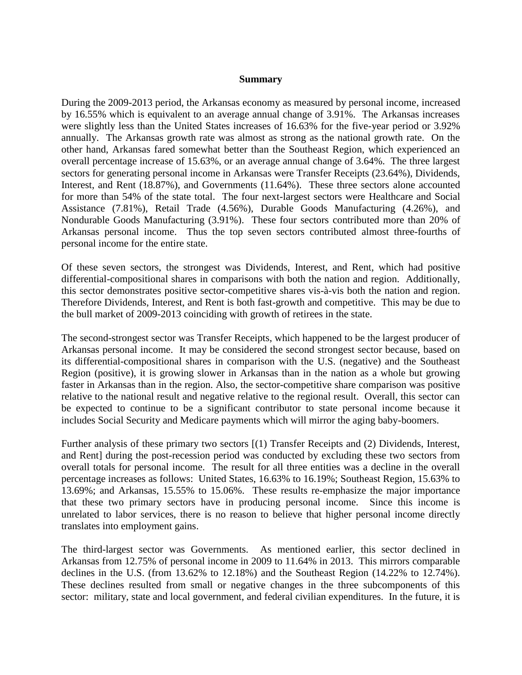#### **Summary**

During the 2009-2013 period, the Arkansas economy as measured by personal income, increased by 16.55% which is equivalent to an average annual change of 3.91%. The Arkansas increases were slightly less than the United States increases of 16.63% for the five-year period or 3.92% annually. The Arkansas growth rate was almost as strong as the national growth rate. On the other hand, Arkansas fared somewhat better than the Southeast Region, which experienced an overall percentage increase of 15.63%, or an average annual change of 3.64%. The three largest sectors for generating personal income in Arkansas were Transfer Receipts (23.64%), Dividends, Interest, and Rent (18.87%), and Governments (11.64%). These three sectors alone accounted for more than 54% of the state total. The four next-largest sectors were Healthcare and Social Assistance (7.81%), Retail Trade (4.56%), Durable Goods Manufacturing (4.26%), and Nondurable Goods Manufacturing (3.91%). These four sectors contributed more than 20% of Arkansas personal income. Thus the top seven sectors contributed almost three-fourths of personal income for the entire state.

Of these seven sectors, the strongest was Dividends, Interest, and Rent, which had positive differential-compositional shares in comparisons with both the nation and region. Additionally, this sector demonstrates positive sector-competitive shares vis-à-vis both the nation and region. Therefore Dividends, Interest, and Rent is both fast-growth and competitive. This may be due to the bull market of 2009-2013 coinciding with growth of retirees in the state.

The second-strongest sector was Transfer Receipts, which happened to be the largest producer of Arkansas personal income. It may be considered the second strongest sector because, based on its differential-compositional shares in comparison with the U.S. (negative) and the Southeast Region (positive), it is growing slower in Arkansas than in the nation as a whole but growing faster in Arkansas than in the region. Also, the sector-competitive share comparison was positive relative to the national result and negative relative to the regional result. Overall, this sector can be expected to continue to be a significant contributor to state personal income because it includes Social Security and Medicare payments which will mirror the aging baby-boomers.

Further analysis of these primary two sectors [(1) Transfer Receipts and (2) Dividends, Interest, and Rent] during the post-recession period was conducted by excluding these two sectors from overall totals for personal income. The result for all three entities was a decline in the overall percentage increases as follows: United States, 16.63% to 16.19%; Southeast Region, 15.63% to 13.69%; and Arkansas, 15.55% to 15.06%. These results re-emphasize the major importance that these two primary sectors have in producing personal income. Since this income is unrelated to labor services, there is no reason to believe that higher personal income directly translates into employment gains.

The third-largest sector was Governments. As mentioned earlier, this sector declined in Arkansas from 12.75% of personal income in 2009 to 11.64% in 2013. This mirrors comparable declines in the U.S. (from 13.62% to 12.18%) and the Southeast Region (14.22% to 12.74%). These declines resulted from small or negative changes in the three subcomponents of this sector: military, state and local government, and federal civilian expenditures. In the future, it is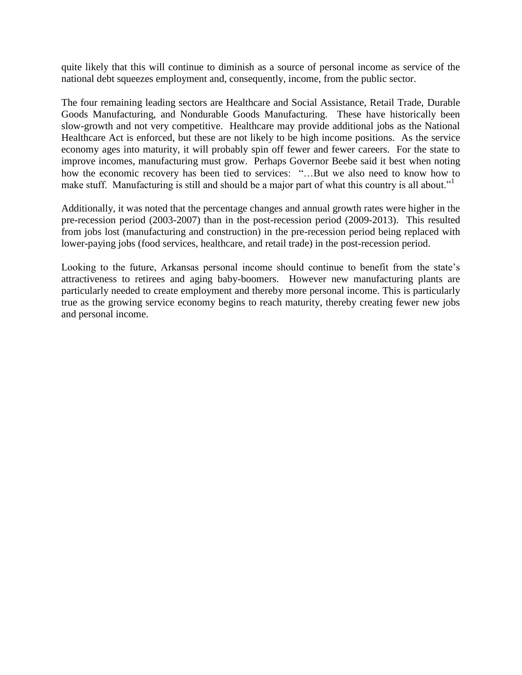quite likely that this will continue to diminish as a source of personal income as service of the national debt squeezes employment and, consequently, income, from the public sector.

The four remaining leading sectors are Healthcare and Social Assistance, Retail Trade, Durable Goods Manufacturing, and Nondurable Goods Manufacturing. These have historically been slow-growth and not very competitive. Healthcare may provide additional jobs as the National Healthcare Act is enforced, but these are not likely to be high income positions. As the service economy ages into maturity, it will probably spin off fewer and fewer careers. For the state to improve incomes, manufacturing must grow. Perhaps Governor Beebe said it best when noting how the economic recovery has been tied to services: "…But we also need to know how to make stuff. Manufacturing is still and should be a major part of what this country is all about."

Additionally, it was noted that the percentage changes and annual growth rates were higher in the pre-recession period (2003-2007) than in the post-recession period (2009-2013). This resulted from jobs lost (manufacturing and construction) in the pre-recession period being replaced with lower-paying jobs (food services, healthcare, and retail trade) in the post-recession period.

Looking to the future, Arkansas personal income should continue to benefit from the state's attractiveness to retirees and aging baby-boomers. However new manufacturing plants are particularly needed to create employment and thereby more personal income. This is particularly true as the growing service economy begins to reach maturity, thereby creating fewer new jobs and personal income.